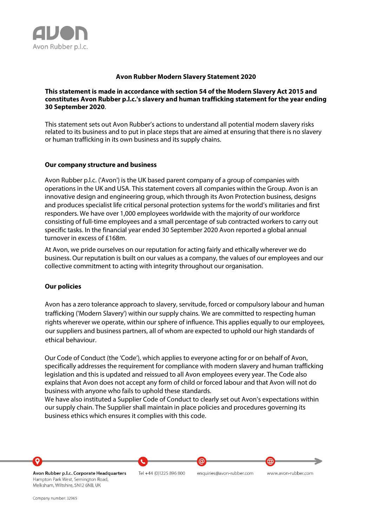

### **Avon Rubber Modern Slavery Statement 2020**

### **This statement is made in accordance with section 54 of the Modern Slavery Act 2015 and constitutes Avon Rubber p.l.c.'s slavery and human trafficking statement for the year ending 30 September 2020**.

This statement sets out Avon Rubber's actions to understand all potential modern slavery risks related to its business and to put in place steps that are aimed at ensuring that there is no slavery or human trafficking in its own business and its supply chains.

### **Our company structure and business**

Avon Rubber p.l.c. ('Avon') is the UK based parent company of a group of companies with operations in the UK and USA. This statement covers all companies within the Group. Avon is an innovative design and engineering group, which through its Avon Protection business, designs and produces specialist life critical personal protection systems for the world's militaries and first responders. We have over 1,000 employees worldwide with the majority of our workforce consisting of full-time employees and a small percentage of sub contracted workers to carry out specific tasks. In the financial year ended 30 September 2020 Avon reported a global annual turnover in excess of £168m.

At Avon, we pride ourselves on our reputation for acting fairly and ethically wherever we do business. Our reputation is built on our values as a company, the values of our employees and our collective commitment to acting with integrity throughout our organisation.

### **Our policies**

Avon has a zero tolerance approach to slavery, servitude, forced or compulsory labour and human trafficking ('Modern Slavery') within our supply chains. We are committed to respecting human rights wherever we operate, within our sphere of influence. This applies equally to our employees, our suppliers and business partners, all of whom are expected to uphold our high standards of ethical behaviour.

Our Code of Conduct (the 'Code'), which applies to everyone acting for or on behalf of Avon, specifically addresses the requirement for compliance with modern slavery and human trafficking legislation and this is updated and reissued to all Avon employees every year. The Code also explains that Avon does not accept any form of child or forced labour and that Avon will not do business with anyone who fails to uphold these standards.

We have also instituted a Supplier Code of Conduct to clearly set out Avon's expectations within our supply chain. The Supplier shall maintain in place policies and procedures governing its business ethics which ensures it complies with this code.



Company number: 32965

Melksham, Wiltshire, SN12 6NB, UK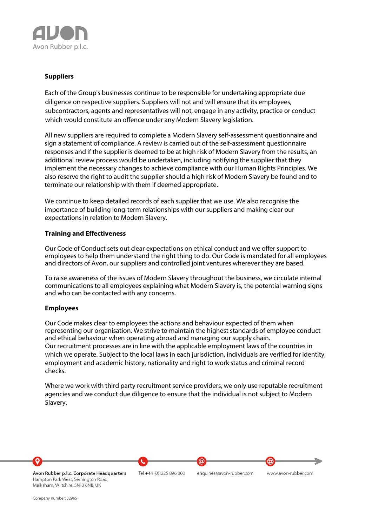

# **Suppliers**

Each of the Group's businesses continue to be responsible for undertaking appropriate due diligence on respective suppliers. Suppliers will not and will ensure that its employees, subcontractors, agents and representatives will not, engage in any activity, practice or conduct which would constitute an offence under any Modern Slavery legislation.

All new suppliers are required to complete a Modern Slavery self-assessment questionnaire and sign a statement of compliance. A review is carried out of the self-assessment questionnaire responses and if the supplier is deemed to be at high risk of Modern Slavery from the results, an additional review process would be undertaken, including notifying the supplier that they implement the necessary changes to achieve compliance with our Human Rights Principles. We also reserve the right to audit the supplier should a high risk of Modern Slavery be found and to terminate our relationship with them if deemed appropriate.

We continue to keep detailed records of each supplier that we use. We also recognise the importance of building long-term relationships with our suppliers and making clear our expectations in relation to Modern Slavery.

## **Training and Effectiveness**

Our Code of Conduct sets out clear expectations on ethical conduct and we offer support to employees to help them understand the right thing to do. Our Code is mandated for all employees and directors of Avon, our suppliers and controlled joint ventures wherever they are based.

To raise awareness of the issues of Modern Slavery throughout the business, we circulate internal communications to all employees explaining what Modern Slavery is, the potential warning signs and who can be contacted with any concerns.

### **Employees**

Our Code makes clear to employees the actions and behaviour expected of them when representing our organisation. We strive to maintain the highest standards of employee conduct and ethical behaviour when operating abroad and managing our supply chain. Our recruitment processes are in line with the applicable employment laws of the countries in which we operate. Subject to the local laws in each jurisdiction, individuals are verified for identity, employment and academic history, nationality and right to work status and criminal record checks.

Where we work with third party recruitment service providers, we only use reputable recruitment agencies and we conduct due diligence to ensure that the individual is not subject to Modern Slavery.



Company number: 32965

Melksham, Wiltshire, SN12 6NB, UK